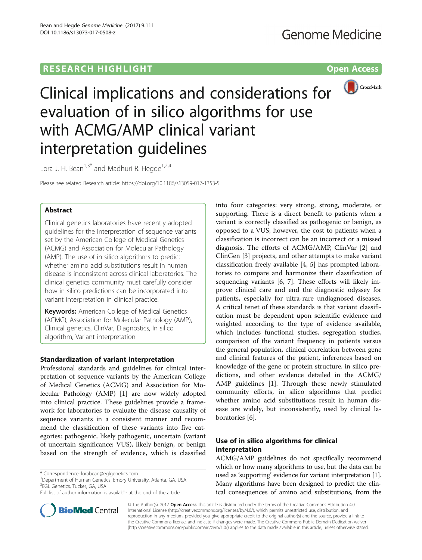# **RESEARCH HIGHLIGHT CONSUMING THE OPEN ACCESS**



Clinical implications and considerations for evaluation of in silico algorithms for use with ACMG/AMP clinical variant interpretation guidelines

Lora J. H. Bean<sup>1,3\*</sup> and Madhuri R. Hegde<sup>1,2,4</sup>

Please see related Research article:<https://doi.org/10.1186/s13059-017-1353-5>

# Abstract

Clinical genetics laboratories have recently adopted guidelines for the interpretation of sequence variants set by the American College of Medical Genetics (ACMG) and Association for Molecular Pathology (AMP). The use of in silico algorithms to predict whether amino acid substitutions result in human disease is inconsistent across clinical laboratories. The clinical genetics community must carefully consider how in silico predictions can be incorporated into variant interpretation in clinical practice.

**Keywords:** American College of Medical Genetics (ACMG), Association for Molecular Pathology (AMP), Clinical genetics, ClinVar, Diagnostics, In silico algorithm, Variant interpretation

# Standardization of variant interpretation

Professional standards and guidelines for clinical interpretation of sequence variants by the American College of Medical Genetics (ACMG) and Association for Molecular Pathology (AMP) [\[1\]](#page-2-0) are now widely adopted into clinical practice. These guidelines provide a framework for laboratories to evaluate the disease causality of sequence variants in a consistent manner and recommend the classification of these variants into five categories: pathogenic, likely pathogenic, uncertain (variant of uncertain significance; VUS), likely benign, or benign based on the strength of evidence, which is classified

<sup>1</sup>Department of Human Genetics, Emory University, Atlanta, GA, USA 3 EGL Genetics, Tucker, GA, USA



into four categories: very strong, strong, moderate, or

# Use of in silico algorithms for clinical interpretation

ACMG/AMP guidelines do not specifically recommend which or how many algorithms to use, but the data can be used as 'supporting' evidence for variant interpretation [[1](#page-2-0)]. Many algorithms have been designed to predict the clinical consequences of amino acid substitutions, from the



© The Author(s). 2017 Open Access This article is distributed under the terms of the Creative Commons Attribution 4.0 International License [\(http://creativecommons.org/licenses/by/4.0/](http://creativecommons.org/licenses/by/4.0/)), which permits unrestricted use, distribution, and reproduction in any medium, provided you give appropriate credit to the original author(s) and the source, provide a link to the Creative Commons license, and indicate if changes were made. The Creative Commons Public Domain Dedication waiver [\(http://creativecommons.org/publicdomain/zero/1.0/](http://creativecommons.org/publicdomain/zero/1.0/)) applies to the data made available in this article, unless otherwise stated.

<sup>\*</sup> Correspondence: [lorabean@eglgenetics.com](mailto:lorabean@eglgenetics.com) <sup>1</sup>

Full list of author information is available at the end of the article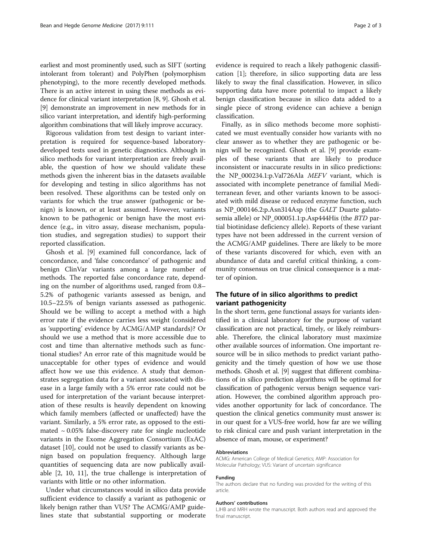earliest and most prominently used, such as SIFT (sorting intolerant from tolerant) and PolyPhen (polymorphism phenotyping), to the more recently developed methods. There is an active interest in using these methods as evidence for clinical variant interpretation [[8](#page-2-0), [9](#page-2-0)]. Ghosh et al. [[9\]](#page-2-0) demonstrate an improvement in new methods for in silico variant interpretation, and identify high-performing algorithm combinations that will likely improve accuracy.

Rigorous validation from test design to variant interpretation is required for sequence-based laboratorydeveloped tests used in genetic diagnostics. Although in silico methods for variant interpretation are freely available, the question of how we should validate these methods given the inherent bias in the datasets available for developing and testing in silico algorithms has not been resolved. These algorithms can be tested only on variants for which the true answer (pathogenic or benign) is known, or at least assumed. However, variants known to be pathogenic or benign have the most evidence (e.g., in vitro assay, disease mechanism, population studies, and segregation studies) to support their reported classification.

Ghosh et al. [\[9](#page-2-0)] examined full concordance, lack of concordance, and 'false concordance' of pathogenic and benign ClinVar variants among a large number of methods. The reported false concordance rate, depending on the number of algorithms used, ranged from 0.8– 5.2% of pathogenic variants assessed as benign, and 10.5–22.5% of benign variants assessed as pathogenic. Should we be willing to accept a method with a high error rate if the evidence carries less weight (considered as 'supporting' evidence by ACMG/AMP standards)? Or should we use a method that is more accessible due to cost and time than alternative methods such as functional studies? An error rate of this magnitude would be unacceptable for other types of evidence and would affect how we use this evidence. A study that demonstrates segregation data for a variant associated with disease in a large family with a 5% error rate could not be used for interpretation of the variant because interpretation of these results is heavily dependent on knowing which family members (affected or unaffected) have the variant. Similarly, a 5% error rate, as opposed to the estimated  $\sim 0.05\%$  false-discovery rate for single nucleotide variants in the Exome Aggregation Consortium (ExAC) dataset [[10\]](#page-2-0), could not be used to classify variants as benign based on population frequency. Although large quantities of sequencing data are now publically available [[2, 10](#page-2-0), [11](#page-2-0)], the true challenge is interpretation of variants with little or no other information.

Under what circumstances would in silico data provide sufficient evidence to classify a variant as pathogenic or likely benign rather than VUS? The ACMG/AMP guidelines state that substantial supporting or moderate evidence is required to reach a likely pathogenic classification [[1\]](#page-2-0); therefore, in silico supporting data are less likely to sway the final classification. However, in silico supporting data have more potential to impact a likely benign classification because in silico data added to a single piece of strong evidence can achieve a benign classification.

Finally, as in silico methods become more sophisticated we must eventually consider how variants with no clear answer as to whether they are pathogenic or benign will be recognized. Ghosh et al. [[9\]](#page-2-0) provide examples of these variants that are likely to produce inconsistent or inaccurate results in in silico predictions: the NP\_000234.1:p.Val726Ala MEFV variant, which is associated with incomplete penetrance of familial Mediterranean fever, and other variants known to be associated with mild disease or reduced enzyme function, such as NP\_000146.2:p.Asn314Asp (the GALT Duarte galatosemia allele) or NP\_000051.1:p.Asp444His (the BTD partial biotinidase deficiency allele). Reports of these variant types have not been addressed in the current version of the ACMG/AMP guidelines. There are likely to be more of these variants discovered for which, even with an abundance of data and careful critical thinking, a community consensus on true clinical consequence is a matter of opinion.

## The future of in silico algorithms to predict variant pathogenicity

In the short term, gene functional assays for variants identified in a clinical laboratory for the purpose of variant classification are not practical, timely, or likely reimbursable. Therefore, the clinical laboratory must maximize other available sources of information. One important resource will be in silico methods to predict variant pathogenicity and the timely question of how we use those methods. Ghosh et al. [\[9](#page-2-0)] suggest that different combinations of in silico prediction algorithms will be optimal for classification of pathogenic versus benign sequence variation. However, the combined algorithm approach provides another opportunity for lack of concordance. The question the clinical genetics community must answer is: in our quest for a VUS-free world, how far are we willing to risk clinical care and push variant interpretation in the absence of man, mouse, or experiment?

#### Abbreviations

ACMG: American College of Medical Genetics; AMP: Association for Molecular Pathology; VUS: Variant of uncertain significance

#### Funding

The authors declare that no funding was provided for the writing of this article.

#### Authors' contributions

LJHB and MRH wrote the manuscript. Both authors read and approved the final manuscript.